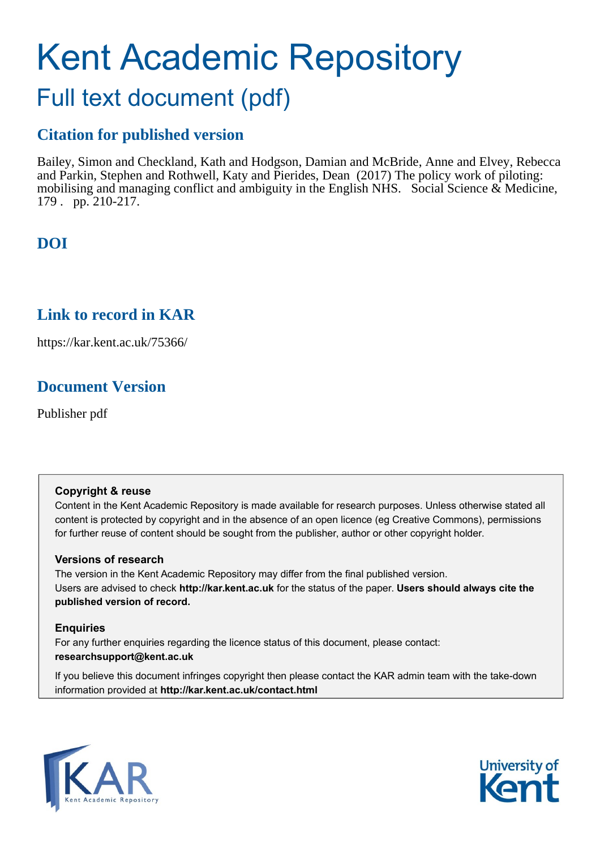# Kent Academic Repository Full text document (pdf)

# **Citation for published version**

Bailey, Simon and Checkland, Kath and Hodgson, Damian and McBride, Anne and Elvey, Rebecca and Parkin, Stephen and Rothwell, Katy and Pierides, Dean (2017) The policy work of piloting: mobilising and managing conflict and ambiguity in the English NHS. Social Science  $\&$  Medicine, 179 . pp. 210-217.

# **DOI**

## **Link to record in KAR**

https://kar.kent.ac.uk/75366/

# **Document Version**

Publisher pdf

### **Copyright & reuse**

Content in the Kent Academic Repository is made available for research purposes. Unless otherwise stated all content is protected by copyright and in the absence of an open licence (eg Creative Commons), permissions for further reuse of content should be sought from the publisher, author or other copyright holder.

### **Versions of research**

The version in the Kent Academic Repository may differ from the final published version. Users are advised to check **http://kar.kent.ac.uk** for the status of the paper. **Users should always cite the published version of record.**

### **Enquiries**

For any further enquiries regarding the licence status of this document, please contact: **researchsupport@kent.ac.uk**

If you believe this document infringes copyright then please contact the KAR admin team with the take-down information provided at **http://kar.kent.ac.uk/contact.html**



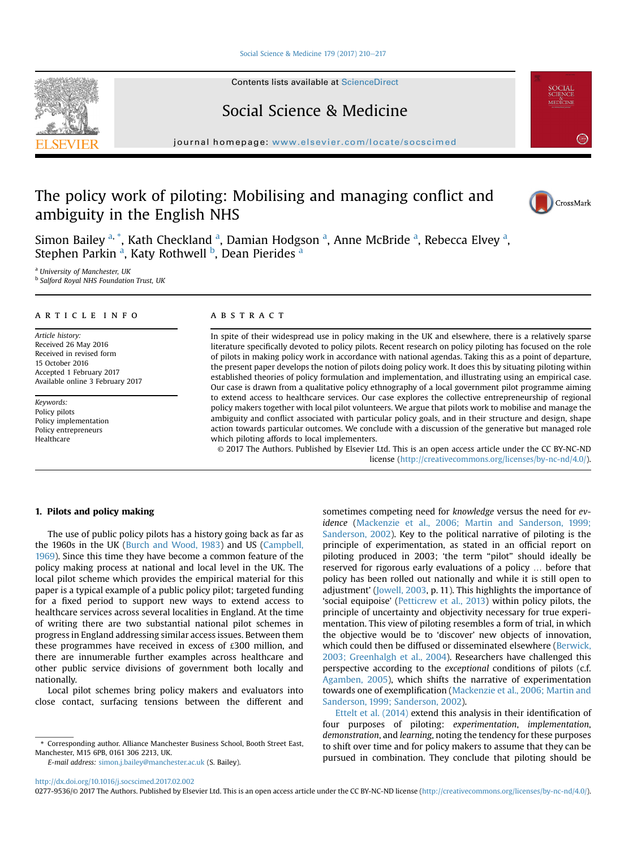#### [Social Science & Medicine 179 \(2017\) 210](http://dx.doi.org/10.1016/j.socscimed.2017.02.002)-[217](http://dx.doi.org/10.1016/j.socscimed.2017.02.002)

Contents lists available at [ScienceDirect](www.sciencedirect.com/science/journal/02779536)

### Social Science & Medicine

journal homepage: [www.elsevier.com/locate/socscimed](http://www.elsevier.com/locate/socscimed)

### The policy work of piloting: Mobilising and managing conflict and ambiguity in the English NHS



<sup>a</sup> University of Manchester, UK <sup>b</sup> Salford Royal NHS Foundation Trust, UK

#### article info

Article history: Received 26 May 2016 Received in revised form 15 October 2016 Accepted 1 February 2017 Available online 3 February 2017

Keywords: Policy pilots Policy implementation Policy entrepreneurs Healthcare

#### **ABSTRACT**

In spite of their widespread use in policy making in the UK and elsewhere, there is a relatively sparse literature specifically devoted to policy pilots. Recent research on policy piloting has focused on the role of pilots in making policy work in accordance with national agendas. Taking this as a point of departure, the present paper develops the notion of pilots doing policy work. It does this by situating piloting within established theories of policy formulation and implementation, and illustrating using an empirical case. Our case is drawn from a qualitative policy ethnography of a local government pilot programme aiming to extend access to healthcare services. Our case explores the collective entrepreneurship of regional policy makers together with local pilot volunteers. We argue that pilots work to mobilise and manage the ambiguity and conflict associated with particular policy goals, and in their structure and design, shape action towards particular outcomes. We conclude with a discussion of the generative but managed role which piloting affords to local implementers.

© 2017 The Authors. Published by Elsevier Ltd. This is an open access article under the CC BY-NC-ND license [\(http://creativecommons.org/licenses/by-nc-nd/4.0/](http://creativecommons.org/licenses/by-nc-nd/4.0/)).

#### 1. Pilots and policy making

The use of public policy pilots has a history going back as far as the 1960s in the UK (Burch and Wood, 1983) and US (Campbell, 1969). Since this time they have become a common feature of the policy making process at national and local level in the UK. The local pilot scheme which provides the empirical material for this paper is a typical example of a public policy pilot; targeted funding for a fixed period to support new ways to extend access to healthcare services across several localities in England. At the time of writing there are two substantial national pilot schemes in progress in England addressing similar access issues. Between them these programmes have received in excess of £300 million, and there are innumerable further examples across healthcare and other public service divisions of government both locally and nationally.

Local pilot schemes bring policy makers and evaluators into close contact, surfacing tensions between the different and

\* Corresponding author. Alliance Manchester Business School, Booth Street East, Manchester, M15 6PB, 0161 306 2213, UK.

E-mail address: [simon.j.bailey@manchester.ac.uk](mailto:simon.j.bailey@manchester.ac.uk) (S. Bailey).



Ettelt et al. (2014) extend this analysis in their identification of four purposes of piloting: experimentation, implementation, demonstration, and learning, noting the tendency for these purposes to shift over time and for policy makers to assume that they can be pursued in combination. They conclude that piloting should be

#### <http://dx.doi.org/10.1016/j.socscimed.2017.02.002>

0277-9536/© 2017 The Authors. Published by Elsevier Ltd. This is an open access article under the CC BY-NC-ND license ([http://creativecommons.org/licenses/by-nc-nd/4.0/\)](http://creativecommons.org/licenses/by-nc-nd/4.0/).





CrossMark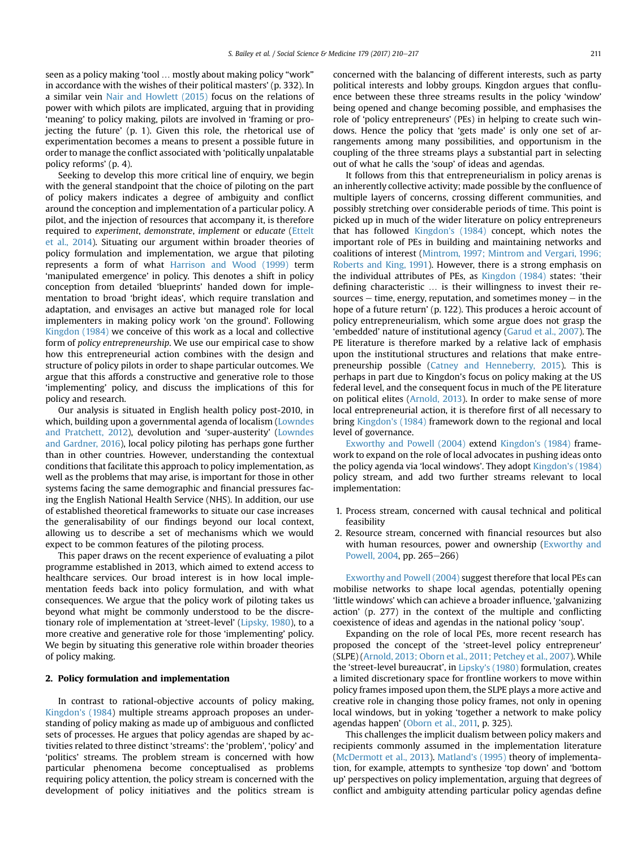seen as a policy making 'tool … mostly about making policy "work" in accordance with the wishes of their political masters' (p. 332). In a similar vein Nair and Howlett (2015) focus on the relations of power with which pilots are implicated, arguing that in providing 'meaning' to policy making, pilots are involved in 'framing or projecting the future' (p. 1). Given this role, the rhetorical use of experimentation becomes a means to present a possible future in order to manage the conflict associated with 'politically unpalatable policy reforms' (p. 4).

Seeking to develop this more critical line of enquiry, we begin with the general standpoint that the choice of piloting on the part of policy makers indicates a degree of ambiguity and conflict around the conception and implementation of a particular policy. A pilot, and the injection of resources that accompany it, is therefore required to experiment, demonstrate, implement or educate (Ettelt et al., 2014). Situating our argument within broader theories of policy formulation and implementation, we argue that piloting represents a form of what Harrison and Wood (1999) term 'manipulated emergence' in policy. This denotes a shift in policy conception from detailed 'blueprints' handed down for implementation to broad 'bright ideas', which require translation and adaptation, and envisages an active but managed role for local implementers in making policy work 'on the ground'. Following Kingdon (1984) we conceive of this work as a local and collective form of policy entrepreneurship. We use our empirical case to show how this entrepreneurial action combines with the design and structure of policy pilots in order to shape particular outcomes. We argue that this affords a constructive and generative role to those 'implementing' policy, and discuss the implications of this for policy and research.

Our analysis is situated in English health policy post-2010, in which, building upon a governmental agenda of localism (Lowndes and Pratchett, 2012), devolution and 'super-austerity' (Lowndes and Gardner, 2016), local policy piloting has perhaps gone further than in other countries. However, understanding the contextual conditions that facilitate this approach to policy implementation, as well as the problems that may arise, is important for those in other systems facing the same demographic and financial pressures facing the English National Health Service (NHS). In addition, our use of established theoretical frameworks to situate our case increases the generalisability of our findings beyond our local context, allowing us to describe a set of mechanisms which we would expect to be common features of the piloting process.

This paper draws on the recent experience of evaluating a pilot programme established in 2013, which aimed to extend access to healthcare services. Our broad interest is in how local implementation feeds back into policy formulation, and with what consequences. We argue that the policy work of piloting takes us beyond what might be commonly understood to be the discretionary role of implementation at 'street-level' (Lipsky, 1980), to a more creative and generative role for those 'implementing' policy. We begin by situating this generative role within broader theories of policy making.

#### 2. Policy formulation and implementation

In contrast to rational-objective accounts of policy making, Kingdon's (1984) multiple streams approach proposes an understanding of policy making as made up of ambiguous and conflicted sets of processes. He argues that policy agendas are shaped by activities related to three distinct 'streams': the 'problem', 'policy' and 'politics' streams. The problem stream is concerned with how particular phenomena become conceptualised as problems requiring policy attention, the policy stream is concerned with the development of policy initiatives and the politics stream is concerned with the balancing of different interests, such as party political interests and lobby groups. Kingdon argues that confluence between these three streams results in the policy 'window' being opened and change becoming possible, and emphasises the role of 'policy entrepreneurs' (PEs) in helping to create such windows. Hence the policy that 'gets made' is only one set of arrangements among many possibilities, and opportunism in the coupling of the three streams plays a substantial part in selecting out of what he calls the 'soup' of ideas and agendas.

It follows from this that entrepreneurialism in policy arenas is an inherently collective activity; made possible by the confluence of multiple layers of concerns, crossing different communities, and possibly stretching over considerable periods of time. This point is picked up in much of the wider literature on policy entrepreneurs that has followed Kingdon's (1984) concept, which notes the important role of PEs in building and maintaining networks and coalitions of interest (Mintrom, 1997; Mintrom and Vergari, 1996; Roberts and King, 1991). However, there is a strong emphasis on the individual attributes of PEs, as Kingdon (1984) states: 'their defining characteristic … is their willingness to invest their resources  $-$  time, energy, reputation, and sometimes money  $-$  in the hope of a future return' (p. 122). This produces a heroic account of policy entrepreneurialism, which some argue does not grasp the 'embedded' nature of institutional agency (Garud et al., 2007). The PE literature is therefore marked by a relative lack of emphasis upon the institutional structures and relations that make entrepreneurship possible (Catney and Henneberry, 2015). This is perhaps in part due to Kingdon's focus on policy making at the US federal level, and the consequent focus in much of the PE literature on political elites (Arnold, 2013). In order to make sense of more local entrepreneurial action, it is therefore first of all necessary to bring Kingdon's (1984) framework down to the regional and local level of governance.

Exworthy and Powell (2004) extend Kingdon's (1984) framework to expand on the role of local advocates in pushing ideas onto the policy agenda via 'local windows'. They adopt Kingdon's (1984) policy stream, and add two further streams relevant to local implementation:

- 1. Process stream, concerned with causal technical and political feasibility
- 2. Resource stream, concerned with financial resources but also with human resources, power and ownership (Exworthy and Powell, 2004, pp. 265-266)

Exworthy and Powell (2004) suggest therefore that local PEs can mobilise networks to shape local agendas, potentially opening 'little windows' which can achieve a broader influence, 'galvanizing action' (p. 277) in the context of the multiple and conflicting coexistence of ideas and agendas in the national policy 'soup'.

Expanding on the role of local PEs, more recent research has proposed the concept of the 'street-level policy entrepreneur' (SLPE) (Arnold, 2013; Oborn et al., 2011; Petchey et al., 2007). While the 'street-level bureaucrat', in Lipsky's (1980) formulation, creates a limited discretionary space for frontline workers to move within policy frames imposed upon them, the SLPE plays a more active and creative role in changing those policy frames, not only in opening local windows, but in yoking 'together a network to make policy agendas happen' (Oborn et al., 2011, p. 325).

This challenges the implicit dualism between policy makers and recipients commonly assumed in the implementation literature (McDermott et al., 2013). Matland's (1995) theory of implementation, for example, attempts to synthesize 'top down' and 'bottom up' perspectives on policy implementation, arguing that degrees of conflict and ambiguity attending particular policy agendas define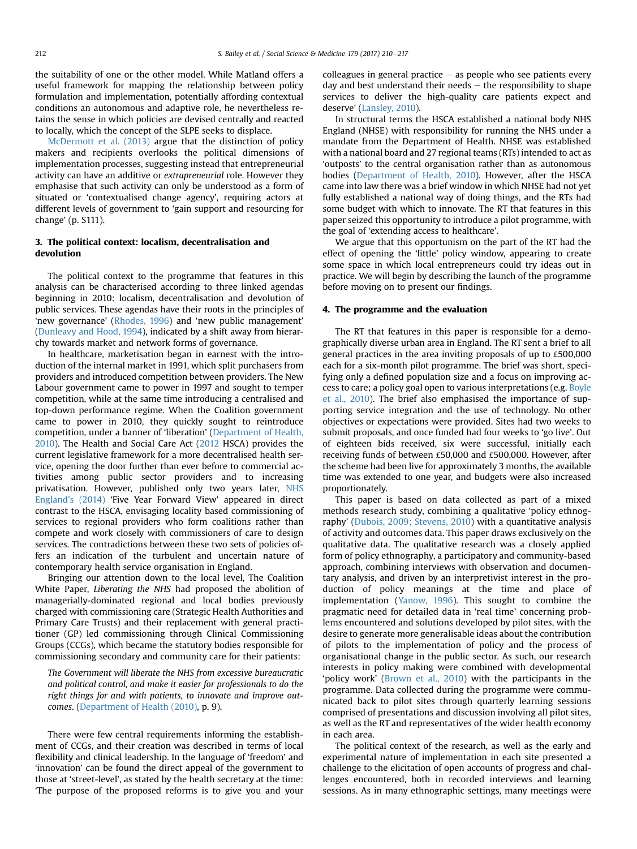the suitability of one or the other model. While Matland offers a useful framework for mapping the relationship between policy formulation and implementation, potentially affording contextual conditions an autonomous and adaptive role, he nevertheless retains the sense in which policies are devised centrally and reacted to locally, which the concept of the SLPE seeks to displace.

McDermott et al. (2013) argue that the distinction of policy makers and recipients overlooks the political dimensions of implementation processes, suggesting instead that entrepreneurial activity can have an additive or extrapreneurial role. However they emphasise that such activity can only be understood as a form of situated or 'contextualised change agency', requiring actors at different levels of government to 'gain support and resourcing for change' (p. S111).

#### 3. The political context: localism, decentralisation and devolution

The political context to the programme that features in this analysis can be characterised according to three linked agendas beginning in 2010: localism, decentralisation and devolution of public services. These agendas have their roots in the principles of 'new governance' (Rhodes, 1996) and 'new public management' (Dunleavy and Hood, 1994), indicated by a shift away from hierarchy towards market and network forms of governance.

In healthcare, marketisation began in earnest with the introduction of the internal market in 1991, which split purchasers from providers and introduced competition between providers. The New Labour government came to power in 1997 and sought to temper competition, while at the same time introducing a centralised and top-down performance regime. When the Coalition government came to power in 2010, they quickly sought to reintroduce competition, under a banner of 'liberation' (Department of Health, 2010). The Health and Social Care Act (2012 HSCA) provides the current legislative framework for a more decentralised health service, opening the door further than ever before to commercial activities among public sector providers and to increasing privatisation. However, published only two years later, NHS England's (2014) 'Five Year Forward View' appeared in direct contrast to the HSCA, envisaging locality based commissioning of services to regional providers who form coalitions rather than compete and work closely with commissioners of care to design services. The contradictions between these two sets of policies offers an indication of the turbulent and uncertain nature of contemporary health service organisation in England.

Bringing our attention down to the local level, The Coalition White Paper, Liberating the NHS had proposed the abolition of managerially-dominated regional and local bodies previously charged with commissioning care (Strategic Health Authorities and Primary Care Trusts) and their replacement with general practitioner (GP) led commissioning through Clinical Commissioning Groups (CCGs), which became the statutory bodies responsible for commissioning secondary and community care for their patients:

The Government will liberate the NHS from excessive bureaucratic and political control, and make it easier for professionals to do the right things for and with patients, to innovate and improve outcomes. (Department of Health (2010), p. 9).

There were few central requirements informing the establishment of CCGs, and their creation was described in terms of local flexibility and clinical leadership. In the language of 'freedom' and 'innovation' can be found the direct appeal of the government to those at 'street-level', as stated by the health secretary at the time: 'The purpose of the proposed reforms is to give you and your colleagues in general practice  $-$  as people who see patients every day and best understand their needs  $-$  the responsibility to shape services to deliver the high-quality care patients expect and deserve' (Lansley, 2010).

In structural terms the HSCA established a national body NHS England (NHSE) with responsibility for running the NHS under a mandate from the Department of Health. NHSE was established with a national board and 27 regional teams (RTs) intended to act as 'outposts' to the central organisation rather than as autonomous bodies (Department of Health, 2010). However, after the HSCA came into law there was a brief window in which NHSE had not yet fully established a national way of doing things, and the RTs had some budget with which to innovate. The RT that features in this paper seized this opportunity to introduce a pilot programme, with the goal of 'extending access to healthcare'.

We argue that this opportunism on the part of the RT had the effect of opening the 'little' policy window, appearing to create some space in which local entrepreneurs could try ideas out in practice. We will begin by describing the launch of the programme before moving on to present our findings.

#### 4. The programme and the evaluation

The RT that features in this paper is responsible for a demographically diverse urban area in England. The RT sent a brief to all general practices in the area inviting proposals of up to £500,000 each for a six-month pilot programme. The brief was short, specifying only a defined population size and a focus on improving access to care; a policy goal open to various interpretations (e.g. Boyle et al., 2010). The brief also emphasised the importance of supporting service integration and the use of technology. No other objectives or expectations were provided. Sites had two weeks to submit proposals, and once funded had four weeks to 'go live'. Out of eighteen bids received, six were successful, initially each receiving funds of between £50,000 and £500,000. However, after the scheme had been live for approximately 3 months, the available time was extended to one year, and budgets were also increased proportionately.

This paper is based on data collected as part of a mixed methods research study, combining a qualitative 'policy ethnography' (Dubois, 2009; Stevens, 2010) with a quantitative analysis of activity and outcomes data. This paper draws exclusively on the qualitative data. The qualitative research was a closely applied form of policy ethnography, a participatory and community-based approach, combining interviews with observation and documentary analysis, and driven by an interpretivist interest in the production of policy meanings at the time and place of implementation (Yanow, 1996). This sought to combine the pragmatic need for detailed data in 'real time' concerning problems encountered and solutions developed by pilot sites, with the desire to generate more generalisable ideas about the contribution of pilots to the implementation of policy and the process of organisational change in the public sector. As such, our research interests in policy making were combined with developmental 'policy work' (Brown et al., 2010) with the participants in the programme. Data collected during the programme were communicated back to pilot sites through quarterly learning sessions comprised of presentations and discussion involving all pilot sites, as well as the RT and representatives of the wider health economy in each area.

The political context of the research, as well as the early and experimental nature of implementation in each site presented a challenge to the elicitation of open accounts of progress and challenges encountered, both in recorded interviews and learning sessions. As in many ethnographic settings, many meetings were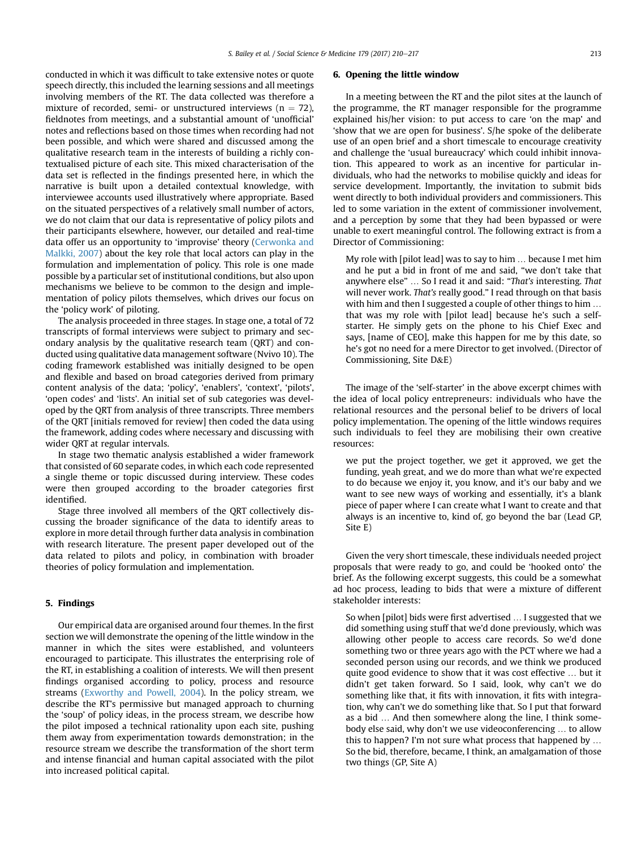conducted in which it was difficult to take extensive notes or quote speech directly, this included the learning sessions and all meetings involving members of the RT. The data collected was therefore a mixture of recorded, semi- or unstructured interviews ( $n = 72$ ), fieldnotes from meetings, and a substantial amount of 'unofficial' notes and reflections based on those times when recording had not been possible, and which were shared and discussed among the qualitative research team in the interests of building a richly contextualised picture of each site. This mixed characterisation of the data set is reflected in the findings presented here, in which the narrative is built upon a detailed contextual knowledge, with interviewee accounts used illustratively where appropriate. Based on the situated perspectives of a relatively small number of actors, we do not claim that our data is representative of policy pilots and their participants elsewhere, however, our detailed and real-time data offer us an opportunity to 'improvise' theory (Cerwonka and Malkki, 2007) about the key role that local actors can play in the formulation and implementation of policy. This role is one made possible by a particular set of institutional conditions, but also upon mechanisms we believe to be common to the design and implementation of policy pilots themselves, which drives our focus on the 'policy work' of piloting.

The analysis proceeded in three stages. In stage one, a total of 72 transcripts of formal interviews were subject to primary and secondary analysis by the qualitative research team (QRT) and conducted using qualitative data management software (Nvivo 10). The coding framework established was initially designed to be open and flexible and based on broad categories derived from primary content analysis of the data; 'policy', 'enablers', 'context', 'pilots', 'open codes' and 'lists'. An initial set of sub categories was developed by the QRT from analysis of three transcripts. Three members of the QRT [initials removed for review] then coded the data using the framework, adding codes where necessary and discussing with wider QRT at regular intervals.

In stage two thematic analysis established a wider framework that consisted of 60 separate codes, in which each code represented a single theme or topic discussed during interview. These codes were then grouped according to the broader categories first identified.

Stage three involved all members of the QRT collectively discussing the broader significance of the data to identify areas to explore in more detail through further data analysis in combination with research literature. The present paper developed out of the data related to pilots and policy, in combination with broader theories of policy formulation and implementation.

#### 5. Findings

Our empirical data are organised around four themes. In the first section we will demonstrate the opening of the little window in the manner in which the sites were established, and volunteers encouraged to participate. This illustrates the enterprising role of the RT, in establishing a coalition of interests. We will then present findings organised according to policy, process and resource streams (Exworthy and Powell, 2004). In the policy stream, we describe the RT's permissive but managed approach to churning the 'soup' of policy ideas, in the process stream, we describe how the pilot imposed a technical rationality upon each site, pushing them away from experimentation towards demonstration; in the resource stream we describe the transformation of the short term and intense financial and human capital associated with the pilot into increased political capital.

#### 6. Opening the little window

In a meeting between the RT and the pilot sites at the launch of the programme, the RT manager responsible for the programme explained his/her vision: to put access to care 'on the map' and 'show that we are open for business'. S/he spoke of the deliberate use of an open brief and a short timescale to encourage creativity and challenge the 'usual bureaucracy' which could inhibit innovation. This appeared to work as an incentive for particular individuals, who had the networks to mobilise quickly and ideas for service development. Importantly, the invitation to submit bids went directly to both individual providers and commissioners. This led to some variation in the extent of commissioner involvement, and a perception by some that they had been bypassed or were unable to exert meaningful control. The following extract is from a Director of Commissioning:

My role with [pilot lead] was to say to him … because I met him and he put a bid in front of me and said, "we don't take that anywhere else" … So I read it and said: "That's interesting. That will never work. That's really good." I read through on that basis with him and then I suggested a couple of other things to him … that was my role with [pilot lead] because he's such a selfstarter. He simply gets on the phone to his Chief Exec and says, [name of CEO], make this happen for me by this date, so he's got no need for a mere Director to get involved. (Director of Commissioning, Site D&E)

The image of the 'self-starter' in the above excerpt chimes with the idea of local policy entrepreneurs: individuals who have the relational resources and the personal belief to be drivers of local policy implementation. The opening of the little windows requires such individuals to feel they are mobilising their own creative resources:

we put the project together, we get it approved, we get the funding, yeah great, and we do more than what we're expected to do because we enjoy it, you know, and it's our baby and we want to see new ways of working and essentially, it's a blank piece of paper where I can create what I want to create and that always is an incentive to, kind of, go beyond the bar (Lead GP, Site E)

Given the very short timescale, these individuals needed project proposals that were ready to go, and could be 'hooked onto' the brief. As the following excerpt suggests, this could be a somewhat ad hoc process, leading to bids that were a mixture of different stakeholder interests:

So when [pilot] bids were first advertised … I suggested that we did something using stuff that we'd done previously, which was allowing other people to access care records. So we'd done something two or three years ago with the PCT where we had a seconded person using our records, and we think we produced quite good evidence to show that it was cost effective … but it didn't get taken forward. So I said, look, why can't we do something like that, it fits with innovation, it fits with integration, why can't we do something like that. So I put that forward as a bid … And then somewhere along the line, I think somebody else said, why don't we use videoconferencing … to allow this to happen? I'm not sure what process that happened by … So the bid, therefore, became, I think, an amalgamation of those two things (GP, Site A)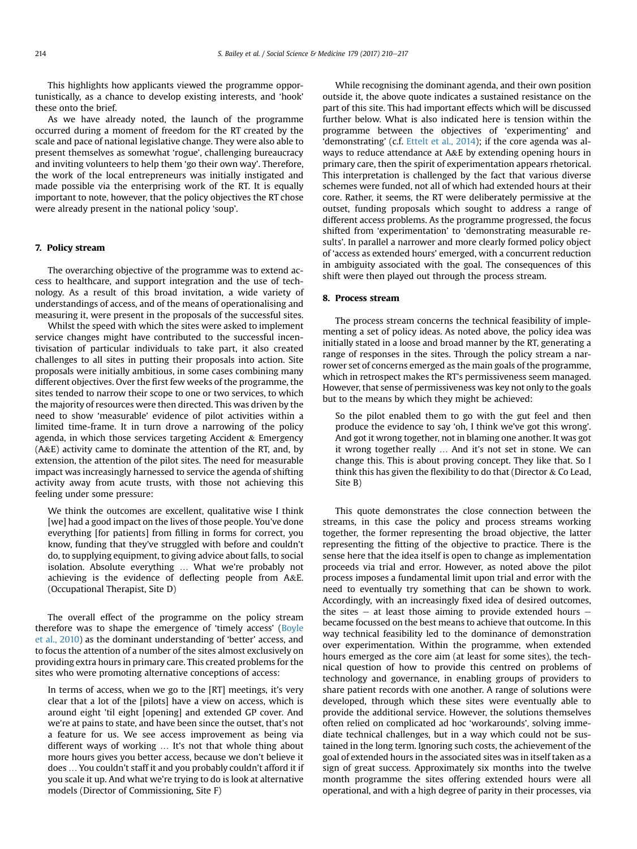This highlights how applicants viewed the programme opportunistically, as a chance to develop existing interests, and 'hook' these onto the brief.

As we have already noted, the launch of the programme occurred during a moment of freedom for the RT created by the scale and pace of national legislative change. They were also able to present themselves as somewhat 'rogue', challenging bureaucracy and inviting volunteers to help them 'go their own way'. Therefore, the work of the local entrepreneurs was initially instigated and made possible via the enterprising work of the RT. It is equally important to note, however, that the policy objectives the RT chose were already present in the national policy 'soup'.

#### 7. Policy stream

The overarching objective of the programme was to extend access to healthcare, and support integration and the use of technology. As a result of this broad invitation, a wide variety of understandings of access, and of the means of operationalising and measuring it, were present in the proposals of the successful sites.

Whilst the speed with which the sites were asked to implement service changes might have contributed to the successful incentivisation of particular individuals to take part, it also created challenges to all sites in putting their proposals into action. Site proposals were initially ambitious, in some cases combining many different objectives. Over the first few weeks of the programme, the sites tended to narrow their scope to one or two services, to which the majority of resources were then directed. This was driven by the need to show 'measurable' evidence of pilot activities within a limited time-frame. It in turn drove a narrowing of the policy agenda, in which those services targeting Accident  $&$  Emergency (A&E) activity came to dominate the attention of the RT, and, by extension, the attention of the pilot sites. The need for measurable impact was increasingly harnessed to service the agenda of shifting activity away from acute trusts, with those not achieving this feeling under some pressure:

We think the outcomes are excellent, qualitative wise I think [we] had a good impact on the lives of those people. You've done everything [for patients] from filling in forms for correct, you know, funding that they've struggled with before and couldn't do, to supplying equipment, to giving advice about falls, to social isolation. Absolute everything … What we're probably not achieving is the evidence of deflecting people from A&E. (Occupational Therapist, Site D)

The overall effect of the programme on the policy stream therefore was to shape the emergence of 'timely access' (Boyle et al., 2010) as the dominant understanding of 'better' access, and to focus the attention of a number of the sites almost exclusively on providing extra hours in primary care. This created problems for the sites who were promoting alternative conceptions of access:

In terms of access, when we go to the [RT] meetings, it's very clear that a lot of the [pilots] have a view on access, which is around eight 'til eight [opening] and extended GP cover. And we're at pains to state, and have been since the outset, that's not a feature for us. We see access improvement as being via different ways of working … It's not that whole thing about more hours gives you better access, because we don't believe it does … You couldn't staff it and you probably couldn't afford it if you scale it up. And what we're trying to do is look at alternative models (Director of Commissioning, Site F)

While recognising the dominant agenda, and their own position outside it, the above quote indicates a sustained resistance on the part of this site. This had important effects which will be discussed further below. What is also indicated here is tension within the programme between the objectives of 'experimenting' and 'demonstrating' (c.f. Ettelt et al., 2014); if the core agenda was always to reduce attendance at A&E by extending opening hours in primary care, then the spirit of experimentation appears rhetorical. This interpretation is challenged by the fact that various diverse schemes were funded, not all of which had extended hours at their core. Rather, it seems, the RT were deliberately permissive at the outset, funding proposals which sought to address a range of different access problems. As the programme progressed, the focus shifted from 'experimentation' to 'demonstrating measurable results'. In parallel a narrower and more clearly formed policy object of 'access as extended hours' emerged, with a concurrent reduction in ambiguity associated with the goal. The consequences of this shift were then played out through the process stream.

#### 8. Process stream

The process stream concerns the technical feasibility of implementing a set of policy ideas. As noted above, the policy idea was initially stated in a loose and broad manner by the RT, generating a range of responses in the sites. Through the policy stream a narrower set of concerns emerged as the main goals of the programme, which in retrospect makes the RT's permissiveness seem managed. However, that sense of permissiveness was key not only to the goals but to the means by which they might be achieved:

So the pilot enabled them to go with the gut feel and then produce the evidence to say 'oh, I think we've got this wrong'. And got it wrong together, not in blaming one another. It was got it wrong together really … And it's not set in stone. We can change this. This is about proving concept. They like that. So I think this has given the flexibility to do that (Director  $\&$  Co Lead, Site B)

This quote demonstrates the close connection between the streams, in this case the policy and process streams working together, the former representing the broad objective, the latter representing the fitting of the objective to practice. There is the sense here that the idea itself is open to change as implementation proceeds via trial and error. However, as noted above the pilot process imposes a fundamental limit upon trial and error with the need to eventually try something that can be shown to work. Accordingly, with an increasingly fixed idea of desired outcomes, the sites  $-$  at least those aiming to provide extended hours  $$ became focussed on the best means to achieve that outcome. In this way technical feasibility led to the dominance of demonstration over experimentation. Within the programme, when extended hours emerged as the core aim (at least for some sites), the technical question of how to provide this centred on problems of technology and governance, in enabling groups of providers to share patient records with one another. A range of solutions were developed, through which these sites were eventually able to provide the additional service. However, the solutions themselves often relied on complicated ad hoc 'workarounds', solving immediate technical challenges, but in a way which could not be sustained in the long term. Ignoring such costs, the achievement of the goal of extended hours in the associated sites was in itself taken as a sign of great success. Approximately six months into the twelve month programme the sites offering extended hours were all operational, and with a high degree of parity in their processes, via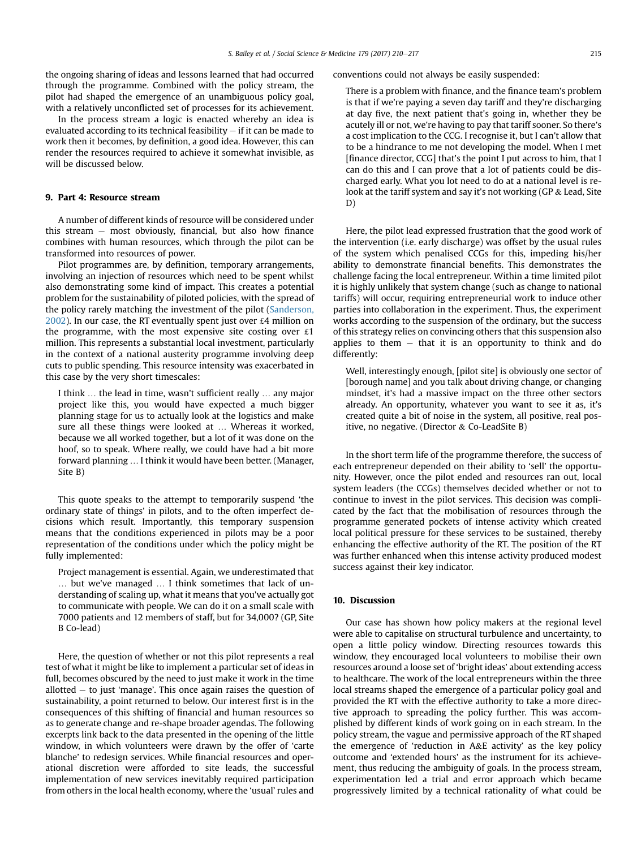the ongoing sharing of ideas and lessons learned that had occurred through the programme. Combined with the policy stream, the pilot had shaped the emergence of an unambiguous policy goal, with a relatively unconflicted set of processes for its achievement.

In the process stream a logic is enacted whereby an idea is evaluated according to its technical feasibility  $-$  if it can be made to work then it becomes, by definition, a good idea. However, this can render the resources required to achieve it somewhat invisible, as will be discussed below.

#### 9. Part 4: Resource stream

A number of different kinds of resource will be considered under this stream  $-$  most obviously, financial, but also how finance combines with human resources, which through the pilot can be transformed into resources of power.

Pilot programmes are, by definition, temporary arrangements, involving an injection of resources which need to be spent whilst also demonstrating some kind of impact. This creates a potential problem for the sustainability of piloted policies, with the spread of the policy rarely matching the investment of the pilot (Sanderson, 2002). In our case, the RT eventually spent just over £4 million on the programme, with the most expensive site costing over  $£1$ million. This represents a substantial local investment, particularly in the context of a national austerity programme involving deep cuts to public spending. This resource intensity was exacerbated in this case by the very short timescales:

I think … the lead in time, wasn't sufficient really … any major project like this, you would have expected a much bigger planning stage for us to actually look at the logistics and make sure all these things were looked at … Whereas it worked, because we all worked together, but a lot of it was done on the hoof, so to speak. Where really, we could have had a bit more forward planning … I think it would have been better. (Manager, Site B)

This quote speaks to the attempt to temporarily suspend 'the ordinary state of things' in pilots, and to the often imperfect decisions which result. Importantly, this temporary suspension means that the conditions experienced in pilots may be a poor representation of the conditions under which the policy might be fully implemented:

Project management is essential. Again, we underestimated that … but we've managed … I think sometimes that lack of understanding of scaling up, what it means that you've actually got to communicate with people. We can do it on a small scale with 7000 patients and 12 members of staff, but for 34,000? (GP, Site B Co-lead)

Here, the question of whether or not this pilot represents a real test of what it might be like to implement a particular set of ideas in full, becomes obscured by the need to just make it work in the time allotted  $-$  to just 'manage'. This once again raises the question of sustainability, a point returned to below. Our interest first is in the consequences of this shifting of financial and human resources so as to generate change and re-shape broader agendas. The following excerpts link back to the data presented in the opening of the little window, in which volunteers were drawn by the offer of 'carte blanche' to redesign services. While financial resources and operational discretion were afforded to site leads, the successful implementation of new services inevitably required participation from others in the local health economy, where the 'usual' rules and

conventions could not always be easily suspended:

There is a problem with finance, and the finance team's problem is that if we're paying a seven day tariff and they're discharging at day five, the next patient that's going in, whether they be acutely ill or not, we're having to pay that tariff sooner. So there's a cost implication to the CCG. I recognise it, but I can't allow that to be a hindrance to me not developing the model. When I met [finance director, CCG] that's the point I put across to him, that I can do this and I can prove that a lot of patients could be discharged early. What you lot need to do at a national level is relook at the tariff system and say it's not working (GP & Lead, Site D)

Here, the pilot lead expressed frustration that the good work of the intervention (i.e. early discharge) was offset by the usual rules of the system which penalised CCGs for this, impeding his/her ability to demonstrate financial benefits. This demonstrates the challenge facing the local entrepreneur. Within a time limited pilot it is highly unlikely that system change (such as change to national tariffs) will occur, requiring entrepreneurial work to induce other parties into collaboration in the experiment. Thus, the experiment works according to the suspension of the ordinary, but the success of this strategy relies on convincing others that this suspension also applies to them  $-$  that it is an opportunity to think and do differently:

Well, interestingly enough, [pilot site] is obviously one sector of [borough name] and you talk about driving change, or changing mindset, it's had a massive impact on the three other sectors already. An opportunity, whatever you want to see it as, it's created quite a bit of noise in the system, all positive, real positive, no negative. (Director & Co-LeadSite B)

In the short term life of the programme therefore, the success of each entrepreneur depended on their ability to 'sell' the opportunity. However, once the pilot ended and resources ran out, local system leaders (the CCGs) themselves decided whether or not to continue to invest in the pilot services. This decision was complicated by the fact that the mobilisation of resources through the programme generated pockets of intense activity which created local political pressure for these services to be sustained, thereby enhancing the effective authority of the RT. The position of the RT was further enhanced when this intense activity produced modest success against their key indicator.

#### 10. Discussion

Our case has shown how policy makers at the regional level were able to capitalise on structural turbulence and uncertainty, to open a little policy window. Directing resources towards this window, they encouraged local volunteers to mobilise their own resources around a loose set of 'bright ideas' about extending access to healthcare. The work of the local entrepreneurs within the three local streams shaped the emergence of a particular policy goal and provided the RT with the effective authority to take a more directive approach to spreading the policy further. This was accomplished by different kinds of work going on in each stream. In the policy stream, the vague and permissive approach of the RT shaped the emergence of 'reduction in A&E activity' as the key policy outcome and 'extended hours' as the instrument for its achievement, thus reducing the ambiguity of goals. In the process stream, experimentation led a trial and error approach which became progressively limited by a technical rationality of what could be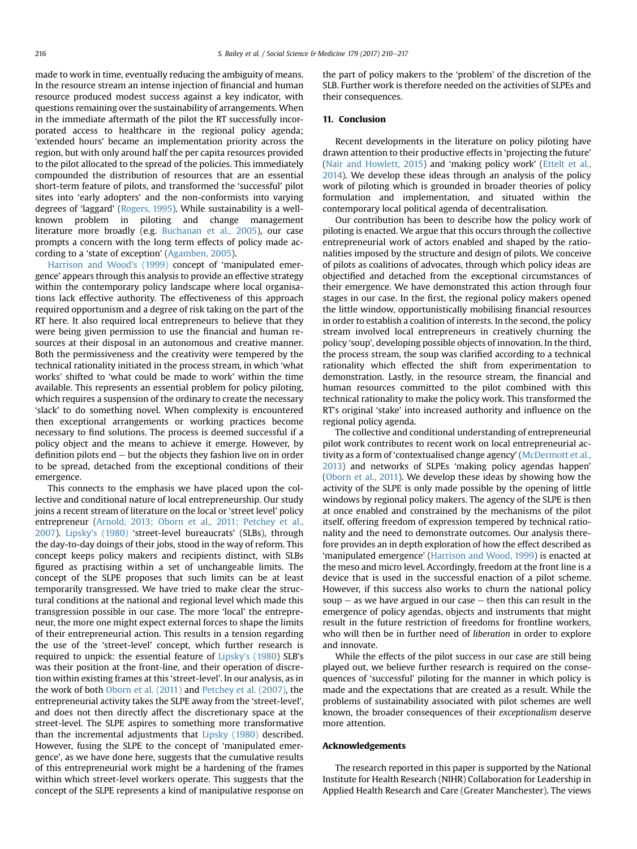made to work in time, eventually reducing the ambiguity of means. In the resource stream an intense injection of financial and human resource produced modest success against a key indicator, with questions remaining over the sustainability of arrangements. When in the immediate aftermath of the pilot the RT successfully incorporated access to healthcare in the regional policy agenda; 'extended hours' became an implementation priority across the region, but with only around half the per capita resources provided to the pilot allocated to the spread of the policies. This immediately compounded the distribution of resources that are an essential short-term feature of pilots, and transformed the 'successful' pilot sites into 'early adopters' and the non-conformists into varying degrees of 'laggard' (Rogers, 1995). While sustainability is a wellknown problem in piloting and change management literature more broadly (e.g. Buchanan et al., 2005), our case prompts a concern with the long term effects of policy made according to a 'state of exception' (Agamben, 2005).

Harrison and Wood's (1999) concept of 'manipulated emergence' appears through this analysis to provide an effective strategy within the contemporary policy landscape where local organisations lack effective authority. The effectiveness of this approach required opportunism and a degree of risk taking on the part of the RT here. It also required local entrepreneurs to believe that they were being given permission to use the financial and human resources at their disposal in an autonomous and creative manner. Both the permissiveness and the creativity were tempered by the technical rationality initiated in the process stream, in which 'what works' shifted to 'what could be made to work' within the time available. This represents an essential problem for policy piloting, which requires a suspension of the ordinary to create the necessary 'slack' to do something novel. When complexity is encountered then exceptional arrangements or working practices become necessary to find solutions. The process is deemed successful if a policy object and the means to achieve it emerge. However, by definition pilots end  $-$  but the objects they fashion live on in order to be spread, detached from the exceptional conditions of their emergence.

This connects to the emphasis we have placed upon the collective and conditional nature of local entrepreneurship. Our study joins a recent stream of literature on the local or 'street level' policy entrepreneur (Arnold, 2013; Oborn et al., 2011; Petchey et al., 2007). Lipsky's (1980) 'street-level bureaucrats' (SLBs), through the day-to-day doings of their jobs, stood in the way of reform. This concept keeps policy makers and recipients distinct, with SLBs figured as practising within a set of unchangeable limits. The concept of the SLPE proposes that such limits can be at least temporarily transgressed. We have tried to make clear the structural conditions at the national and regional level which made this transgression possible in our case. The more 'local' the entrepreneur, the more one might expect external forces to shape the limits of their entrepreneurial action. This results in a tension regarding the use of the 'street-level' concept, which further research is required to unpick: the essential feature of Lipsky's (1980) SLB's was their position at the front-line, and their operation of discretion within existing frames at this 'street-level'. In our analysis, as in the work of both Oborn et al. (2011) and Petchey et al. (2007), the entrepreneurial activity takes the SLPE away from the 'street-level', and does not then directly affect the discretionary space at the street-level. The SLPE aspires to something more transformative than the incremental adjustments that Lipsky (1980) described. However, fusing the SLPE to the concept of 'manipulated emergence', as we have done here, suggests that the cumulative results of this entrepreneurial work might be a hardening of the frames within which street-level workers operate. This suggests that the concept of the SLPE represents a kind of manipulative response on the part of policy makers to the 'problem' of the discretion of the SLB. Further work is therefore needed on the activities of SLPEs and their consequences.

#### 11. Conclusion

Recent developments in the literature on policy piloting have drawn attention to their productive effects in 'projecting the future' (Nair and Howlett, 2015) and 'making policy work' (Ettelt et al., 2014). We develop these ideas through an analysis of the policy work of piloting which is grounded in broader theories of policy formulation and implementation, and situated within the contemporary local political agenda of decentralisation.

Our contribution has been to describe how the policy work of piloting is enacted. We argue that this occurs through the collective entrepreneurial work of actors enabled and shaped by the rationalities imposed by the structure and design of pilots. We conceive of pilots as coalitions of advocates, through which policy ideas are objectified and detached from the exceptional circumstances of their emergence. We have demonstrated this action through four stages in our case. In the first, the regional policy makers opened the little window, opportunistically mobilising financial resources in order to establish a coalition of interests. In the second, the policy stream involved local entrepreneurs in creatively churning the policy 'soup', developing possible objects of innovation. In the third, the process stream, the soup was clarified according to a technical rationality which effected the shift from experimentation to demonstration. Lastly, in the resource stream, the financial and human resources committed to the pilot combined with this technical rationality to make the policy work. This transformed the RT's original 'stake' into increased authority and influence on the regional policy agenda.

The collective and conditional understanding of entrepreneurial pilot work contributes to recent work on local entrepreneurial activity as a form of 'contextualised change agency' (McDermott et al., 2013) and networks of SLPEs 'making policy agendas happen' (Oborn et al., 2011). We develop these ideas by showing how the activity of the SLPE is only made possible by the opening of little windows by regional policy makers. The agency of the SLPE is then at once enabled and constrained by the mechanisms of the pilot itself, offering freedom of expression tempered by technical rationality and the need to demonstrate outcomes. Our analysis therefore provides an in depth exploration of how the effect described as 'manipulated emergence' (Harrison and Wood, 1999) is enacted at the meso and micro level. Accordingly, freedom at the front line is a device that is used in the successful enaction of a pilot scheme. However, if this success also works to churn the national policy  $soup - as$  we have argued in our case  $-$  then this can result in the emergence of policy agendas, objects and instruments that might result in the future restriction of freedoms for frontline workers, who will then be in further need of liberation in order to explore and innovate.

While the effects of the pilot success in our case are still being played out, we believe further research is required on the consequences of 'successful' piloting for the manner in which policy is made and the expectations that are created as a result. While the problems of sustainability associated with pilot schemes are well known, the broader consequences of their exceptionalism deserve more attention.

#### Acknowledgements

The research reported in this paper is supported by the National Institute for Health Research (NIHR) Collaboration for Leadership in Applied Health Research and Care (Greater Manchester). The views